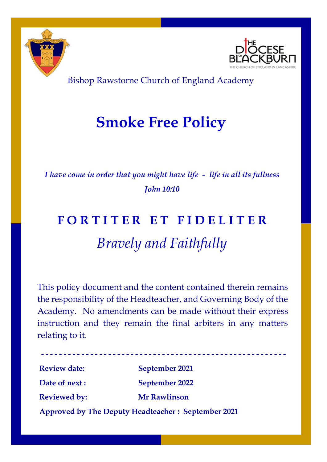



Bishop Rawstorne Church of England Academy

# **Smoke Free Policy**

*I have come in order that you might have life - life in all its fullness John 10:10*

# **F O R T I T E R E T F I D E L I T E R** *Bravely and Faithfully*

This policy document and the content contained therein remains the responsibility of the Headteacher, and Governing Body of the Academy. No amendments can be made without their express instruction and they remain the final arbiters in any matters relating to it.

----------------------------**Review date: September 2021 Date of next : September 2022 Reviewed by: Mr Rawlinson Approved by The Deputy Headteacher : September 2021**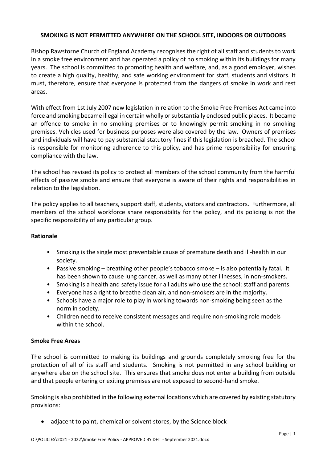## **SMOKING IS NOT PERMITTED ANYWHERE ON THE SCHOOL SITE, INDOORS OR OUTDOORS**

Bishop Rawstorne Church of England Academy recognises the right of all staff and students to work in a smoke free environment and has operated a policy of no smoking within its buildings for many years. The school is committed to promoting health and welfare, and, as a good employer, wishes to create a high quality, healthy, and safe working environment for staff, students and visitors. It must, therefore, ensure that everyone is protected from the dangers of smoke in work and rest areas.

With effect from 1st July 2007 new legislation in relation to the Smoke Free Premises Act came into force and smoking became illegal in certain wholly or substantially enclosed public places. It became an offence to smoke in no smoking premises or to knowingly permit smoking in no smoking premises. Vehicles used for business purposes were also covered by the law. Owners of premises and individuals will have to pay substantial statutory fines if this legislation is breached. The school is responsible for monitoring adherence to this policy, and has prime responsibility for ensuring compliance with the law.

The school has revised its policy to protect all members of the school community from the harmful effects of passive smoke and ensure that everyone is aware of their rights and responsibilities in relation to the legislation.

The policy applies to all teachers, support staff, students, visitors and contractors. Furthermore, all members of the school workforce share responsibility for the policy, and its policing is not the specific responsibility of any particular group.

### **Rationale**

- Smoking is the single most preventable cause of premature death and ill-health in our society.
- Passive smoking breathing other people's tobacco smoke is also potentially fatal. It has been shown to cause lung cancer, as well as many other illnesses, in non-smokers.
- Smoking is a health and safety issue for all adults who use the school: staff and parents.
- Everyone has a right to breathe clean air, and non-smokers are in the majority.
- Schools have a major role to play in working towards non-smoking being seen as the norm in society.
- Children need to receive consistent messages and require non-smoking role models within the school.

### **Smoke Free Areas**

The school is committed to making its buildings and grounds completely smoking free for the protection of all of its staff and students. Smoking is not permitted in any school building or anywhere else on the school site. This ensures that smoke does not enter a building from outside and that people entering or exiting premises are not exposed to second-hand smoke.

Smoking is also prohibited in the following external locations which are covered by existing statutory provisions:

• adjacent to paint, chemical or solvent stores, by the Science block